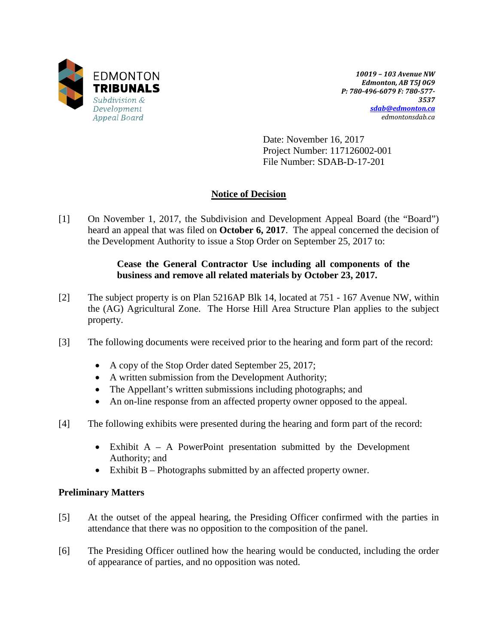

*10019 – 103 Avenue NW Edmonton, AB T5J 0G9 P: 780-496-6079 F: 780-577- 3537 [sdab@edmonton.ca](mailto:sdab@edmonton.ca) edmontonsdab.ca*

Date: November 16, 2017 Project Number: 117126002-001 File Number: SDAB-D-17-201

# **Notice of Decision**

[1] On November 1, 2017, the Subdivision and Development Appeal Board (the "Board") heard an appeal that was filed on **October 6, 2017**. The appeal concerned the decision of the Development Authority to issue a Stop Order on September 25, 2017 to:

### **Cease the General Contractor Use including all components of the business and remove all related materials by October 23, 2017.**

- [2] The subject property is on Plan 5216AP Blk 14, located at 751 167 Avenue NW, within the (AG) Agricultural Zone. The Horse Hill Area Structure Plan applies to the subject property.
- [3] The following documents were received prior to the hearing and form part of the record:
	- A copy of the Stop Order dated September 25, 2017;
	- A written submission from the Development Authority;
	- The Appellant's written submissions including photographs; and
	- An on-line response from an affected property owner opposed to the appeal.
- [4] The following exhibits were presented during the hearing and form part of the record:
	- Exhibit A A PowerPoint presentation submitted by the Development Authority; and
	- Exhibit B Photographs submitted by an affected property owner.

### **Preliminary Matters**

- [5] At the outset of the appeal hearing, the Presiding Officer confirmed with the parties in attendance that there was no opposition to the composition of the panel.
- [6] The Presiding Officer outlined how the hearing would be conducted, including the order of appearance of parties, and no opposition was noted.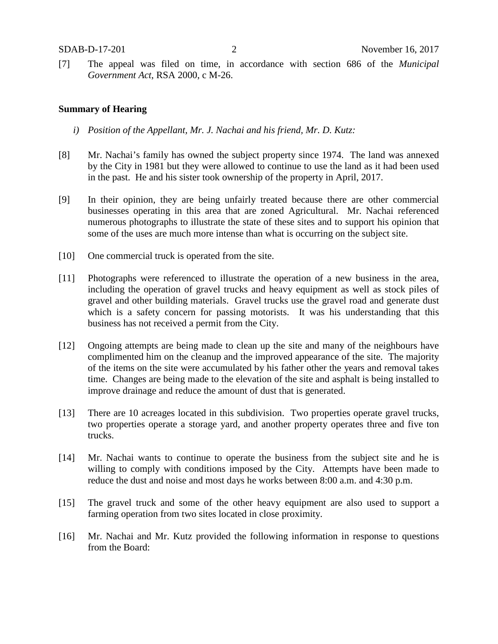[7] The appeal was filed on time, in accordance with section 686 of the *Municipal Government Act*, RSA 2000, c M-26.

#### **Summary of Hearing**

- *i) Position of the Appellant, Mr. J. Nachai and his friend, Mr. D. Kutz:*
- [8] Mr. Nachai's family has owned the subject property since 1974. The land was annexed by the City in 1981 but they were allowed to continue to use the land as it had been used in the past. He and his sister took ownership of the property in April, 2017.
- [9] In their opinion, they are being unfairly treated because there are other commercial businesses operating in this area that are zoned Agricultural. Mr. Nachai referenced numerous photographs to illustrate the state of these sites and to support his opinion that some of the uses are much more intense than what is occurring on the subject site.
- [10] One commercial truck is operated from the site.
- [11] Photographs were referenced to illustrate the operation of a new business in the area, including the operation of gravel trucks and heavy equipment as well as stock piles of gravel and other building materials. Gravel trucks use the gravel road and generate dust which is a safety concern for passing motorists. It was his understanding that this business has not received a permit from the City.
- [12] Ongoing attempts are being made to clean up the site and many of the neighbours have complimented him on the cleanup and the improved appearance of the site. The majority of the items on the site were accumulated by his father other the years and removal takes time. Changes are being made to the elevation of the site and asphalt is being installed to improve drainage and reduce the amount of dust that is generated.
- [13] There are 10 acreages located in this subdivision. Two properties operate gravel trucks, two properties operate a storage yard, and another property operates three and five ton trucks.
- [14] Mr. Nachai wants to continue to operate the business from the subject site and he is willing to comply with conditions imposed by the City. Attempts have been made to reduce the dust and noise and most days he works between 8:00 a.m. and 4:30 p.m.
- [15] The gravel truck and some of the other heavy equipment are also used to support a farming operation from two sites located in close proximity.
- [16] Mr. Nachai and Mr. Kutz provided the following information in response to questions from the Board: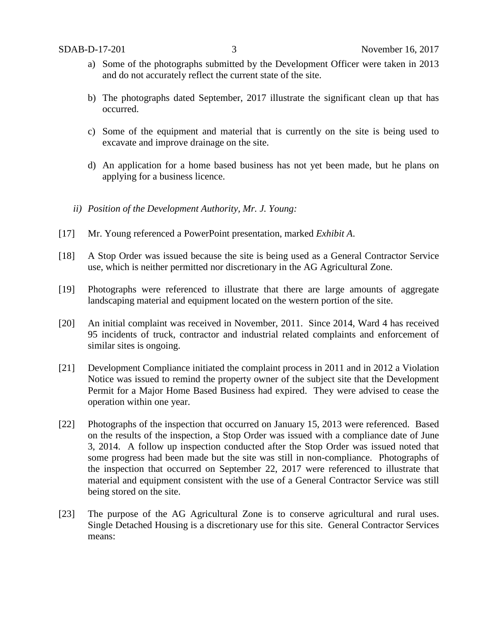- a) Some of the photographs submitted by the Development Officer were taken in 2013 and do not accurately reflect the current state of the site.
- b) The photographs dated September, 2017 illustrate the significant clean up that has occurred.
- c) Some of the equipment and material that is currently on the site is being used to excavate and improve drainage on the site.
- d) An application for a home based business has not yet been made, but he plans on applying for a business licence.
- *ii) Position of the Development Authority, Mr. J. Young:*
- [17] Mr. Young referenced a PowerPoint presentation, marked *Exhibit A*.
- [18] A Stop Order was issued because the site is being used as a General Contractor Service use, which is neither permitted nor discretionary in the AG Agricultural Zone.
- [19] Photographs were referenced to illustrate that there are large amounts of aggregate landscaping material and equipment located on the western portion of the site.
- [20] An initial complaint was received in November, 2011. Since 2014, Ward 4 has received 95 incidents of truck, contractor and industrial related complaints and enforcement of similar sites is ongoing.
- [21] Development Compliance initiated the complaint process in 2011 and in 2012 a Violation Notice was issued to remind the property owner of the subject site that the Development Permit for a Major Home Based Business had expired. They were advised to cease the operation within one year.
- [22] Photographs of the inspection that occurred on January 15, 2013 were referenced. Based on the results of the inspection, a Stop Order was issued with a compliance date of June 3, 2014. A follow up inspection conducted after the Stop Order was issued noted that some progress had been made but the site was still in non-compliance. Photographs of the inspection that occurred on September 22, 2017 were referenced to illustrate that material and equipment consistent with the use of a General Contractor Service was still being stored on the site.
- [23] The purpose of the AG Agricultural Zone is to conserve agricultural and rural uses. Single Detached Housing is a discretionary use for this site. General Contractor Services means: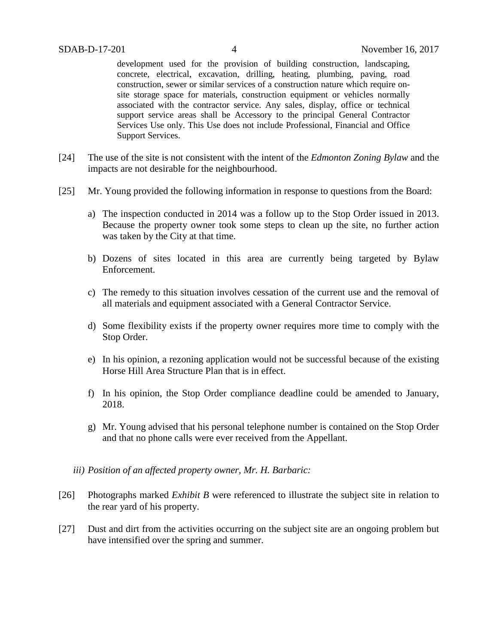development used for the provision of building construction, landscaping, concrete, electrical, excavation, drilling, heating, plumbing, paving, road construction, sewer or similar services of a construction nature which require onsite storage space for materials, construction equipment or vehicles normally associated with the contractor service. Any sales, display, office or technical support service areas shall be Accessory to the principal General Contractor Services Use only. This Use does not include Professional, Financial and Office Support Services.

- [24] The use of the site is not consistent with the intent of the *Edmonton Zoning Bylaw* and the impacts are not desirable for the neighbourhood.
- [25] Mr. Young provided the following information in response to questions from the Board:
	- a) The inspection conducted in 2014 was a follow up to the Stop Order issued in 2013. Because the property owner took some steps to clean up the site, no further action was taken by the City at that time.
	- b) Dozens of sites located in this area are currently being targeted by Bylaw Enforcement.
	- c) The remedy to this situation involves cessation of the current use and the removal of all materials and equipment associated with a General Contractor Service.
	- d) Some flexibility exists if the property owner requires more time to comply with the Stop Order.
	- e) In his opinion, a rezoning application would not be successful because of the existing Horse Hill Area Structure Plan that is in effect.
	- f) In his opinion, the Stop Order compliance deadline could be amended to January, 2018.
	- g) Mr. Young advised that his personal telephone number is contained on the Stop Order and that no phone calls were ever received from the Appellant.
	- *iii) Position of an affected property owner, Mr. H. Barbaric:*
- [26] Photographs marked *Exhibit B* were referenced to illustrate the subject site in relation to the rear yard of his property.
- [27] Dust and dirt from the activities occurring on the subject site are an ongoing problem but have intensified over the spring and summer.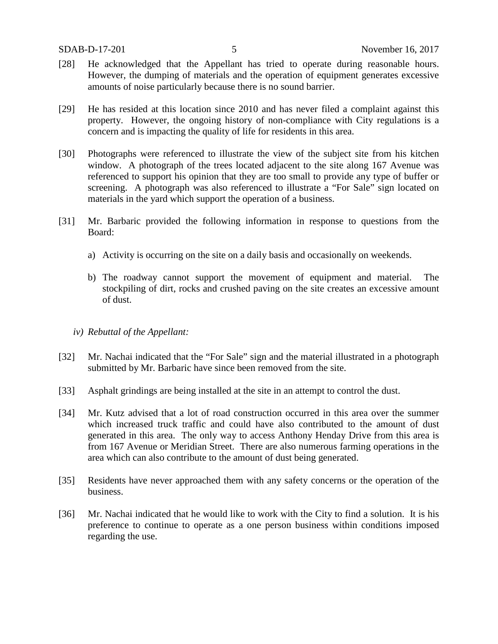- [28] He acknowledged that the Appellant has tried to operate during reasonable hours. However, the dumping of materials and the operation of equipment generates excessive amounts of noise particularly because there is no sound barrier.
- [29] He has resided at this location since 2010 and has never filed a complaint against this property. However, the ongoing history of non-compliance with City regulations is a concern and is impacting the quality of life for residents in this area.
- [30] Photographs were referenced to illustrate the view of the subject site from his kitchen window. A photograph of the trees located adjacent to the site along 167 Avenue was referenced to support his opinion that they are too small to provide any type of buffer or screening. A photograph was also referenced to illustrate a "For Sale" sign located on materials in the yard which support the operation of a business.
- [31] Mr. Barbaric provided the following information in response to questions from the Board:
	- a) Activity is occurring on the site on a daily basis and occasionally on weekends.
	- b) The roadway cannot support the movement of equipment and material. The stockpiling of dirt, rocks and crushed paving on the site creates an excessive amount of dust.
	- *iv) Rebuttal of the Appellant:*
- [32] Mr. Nachai indicated that the "For Sale" sign and the material illustrated in a photograph submitted by Mr. Barbaric have since been removed from the site.
- [33] Asphalt grindings are being installed at the site in an attempt to control the dust.
- [34] Mr. Kutz advised that a lot of road construction occurred in this area over the summer which increased truck traffic and could have also contributed to the amount of dust generated in this area. The only way to access Anthony Henday Drive from this area is from 167 Avenue or Meridian Street. There are also numerous farming operations in the area which can also contribute to the amount of dust being generated.
- [35] Residents have never approached them with any safety concerns or the operation of the business.
- [36] Mr. Nachai indicated that he would like to work with the City to find a solution. It is his preference to continue to operate as a one person business within conditions imposed regarding the use.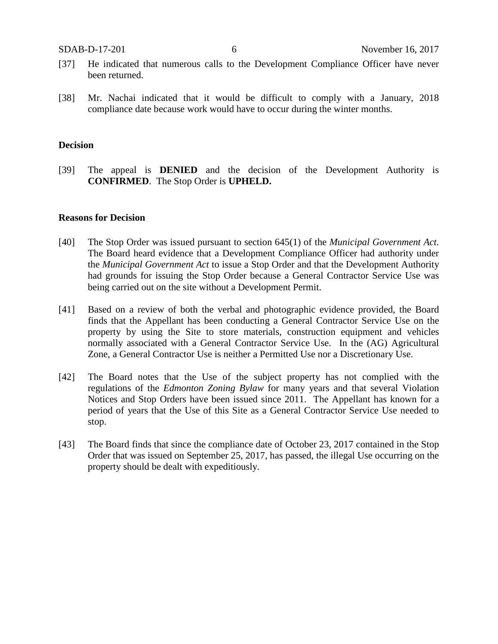- [37] He indicated that numerous calls to the Development Compliance Officer have never been returned.
- [38] Mr. Nachai indicated that it would be difficult to comply with a January, 2018 compliance date because work would have to occur during the winter months.

#### **Decision**

[39] The appeal is **DENIED** and the decision of the Development Authority is **CONFIRMED**. The Stop Order is **UPHELD.**

#### **Reasons for Decision**

- [40] The Stop Order was issued pursuant to section 645(1) of the *Municipal Government Act.*  The Board heard evidence that a Development Compliance Officer had authority under the *Municipal Government Act* to issue a Stop Order and that the Development Authority had grounds for issuing the Stop Order because a General Contractor Service Use was being carried out on the site without a Development Permit.
- [41] Based on a review of both the verbal and photographic evidence provided, the Board finds that the Appellant has been conducting a General Contractor Service Use on the property by using the Site to store materials, construction equipment and vehicles normally associated with a General Contractor Service Use. In the (AG) Agricultural Zone, a General Contractor Use is neither a Permitted Use nor a Discretionary Use.
- [42] The Board notes that the Use of the subject property has not complied with the regulations of the *Edmonton Zoning Bylaw* for many years and that several Violation Notices and Stop Orders have been issued since 2011. The Appellant has known for a period of years that the Use of this Site as a General Contractor Service Use needed to stop.
- [43] The Board finds that since the compliance date of October 23, 2017 contained in the Stop Order that was issued on September 25, 2017, has passed, the illegal Use occurring on the property should be dealt with expeditiously.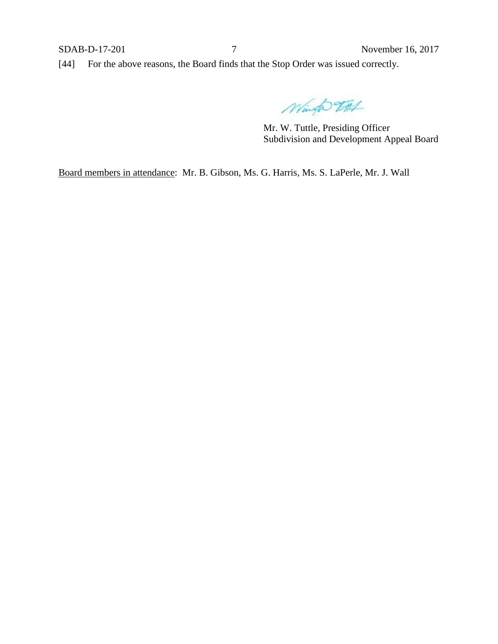[44] For the above reasons, the Board finds that the Stop Order was issued correctly.

Wingto 75th

Mr. W. Tuttle, Presiding Officer Subdivision and Development Appeal Board

Board members in attendance: Mr. B. Gibson, Ms. G. Harris, Ms. S. LaPerle, Mr. J. Wall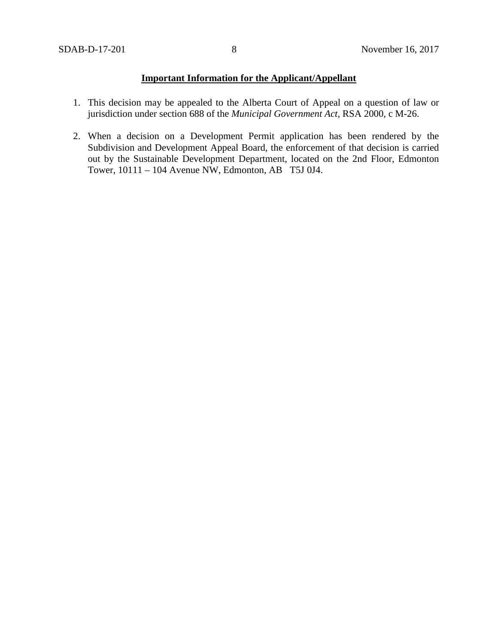## **Important Information for the Applicant/Appellant**

- 1. This decision may be appealed to the Alberta Court of Appeal on a question of law or jurisdiction under section 688 of the *Municipal Government Act*, RSA 2000, c M-26.
- 2. When a decision on a Development Permit application has been rendered by the Subdivision and Development Appeal Board, the enforcement of that decision is carried out by the Sustainable Development Department, located on the 2nd Floor, Edmonton Tower, 10111 – 104 Avenue NW, Edmonton, AB T5J 0J4.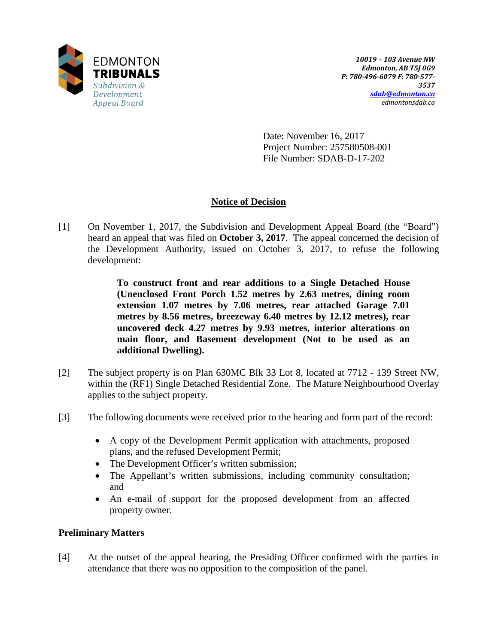

Date: November 16, 2017 Project Number: 257580508-001 File Number: SDAB-D-17-202

## **Notice of Decision**

[1] On November 1, 2017, the Subdivision and Development Appeal Board (the "Board") heard an appeal that was filed on **October 3, 2017**. The appeal concerned the decision of the Development Authority, issued on October 3, 2017, to refuse the following development:

> **To construct front and rear additions to a Single Detached House (Unenclosed Front Porch 1.52 metres by 2.63 metres, dining room extension 1.07 metres by 7.06 metres, rear attached Garage 7.01 metres by 8.56 metres, breezeway 6.40 metres by 12.12 metres), rear uncovered deck 4.27 metres by 9.93 metres, interior alterations on main floor, and Basement development (Not to be used as an additional Dwelling).**

- [2] The subject property is on Plan 630MC Blk 33 Lot 8, located at 7712 139 Street NW, within the (RF1) Single Detached Residential Zone. The Mature Neighbourhood Overlay applies to the subject property.
- [3] The following documents were received prior to the hearing and form part of the record:
	- A copy of the Development Permit application with attachments, proposed plans, and the refused Development Permit;
	- The Development Officer's written submission;
	- The Appellant's written submissions, including community consultation; and
	- An e-mail of support for the proposed development from an affected property owner.

### **Preliminary Matters**

[4] At the outset of the appeal hearing, the Presiding Officer confirmed with the parties in attendance that there was no opposition to the composition of the panel.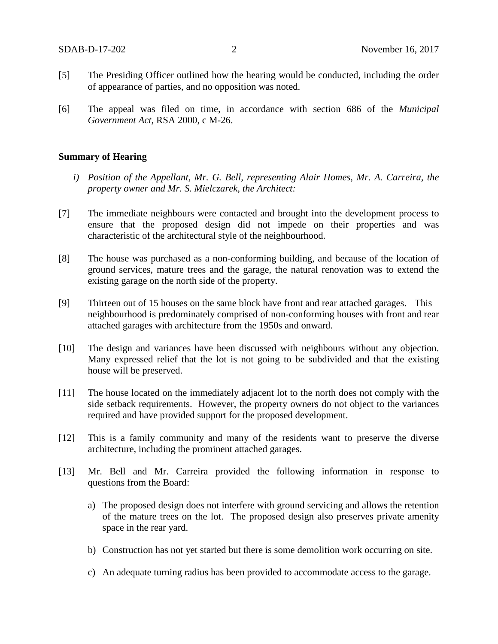- [5] The Presiding Officer outlined how the hearing would be conducted, including the order of appearance of parties, and no opposition was noted.
- [6] The appeal was filed on time, in accordance with section 686 of the *Municipal Government Act*, RSA 2000, c M-26.

#### **Summary of Hearing**

- *i) Position of the Appellant, Mr. G. Bell, representing Alair Homes, Mr. A. Carreira, the property owner and Mr. S. Mielczarek, the Architect:*
- [7] The immediate neighbours were contacted and brought into the development process to ensure that the proposed design did not impede on their properties and was characteristic of the architectural style of the neighbourhood.
- [8] The house was purchased as a non-conforming building, and because of the location of ground services, mature trees and the garage, the natural renovation was to extend the existing garage on the north side of the property.
- [9] Thirteen out of 15 houses on the same block have front and rear attached garages. This neighbourhood is predominately comprised of non-conforming houses with front and rear attached garages with architecture from the 1950s and onward.
- [10] The design and variances have been discussed with neighbours without any objection. Many expressed relief that the lot is not going to be subdivided and that the existing house will be preserved.
- [11] The house located on the immediately adjacent lot to the north does not comply with the side setback requirements. However, the property owners do not object to the variances required and have provided support for the proposed development.
- [12] This is a family community and many of the residents want to preserve the diverse architecture, including the prominent attached garages.
- [13] Mr. Bell and Mr. Carreira provided the following information in response to questions from the Board:
	- a) The proposed design does not interfere with ground servicing and allows the retention of the mature trees on the lot. The proposed design also preserves private amenity space in the rear yard.
	- b) Construction has not yet started but there is some demolition work occurring on site.
	- c) An adequate turning radius has been provided to accommodate access to the garage.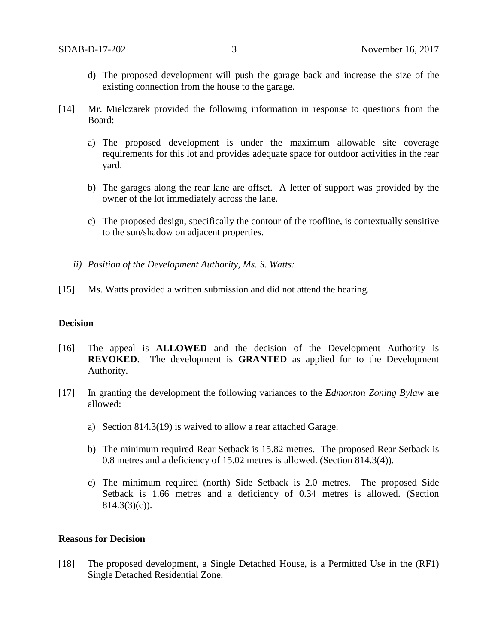- d) The proposed development will push the garage back and increase the size of the existing connection from the house to the garage.
- [14] Mr. Mielczarek provided the following information in response to questions from the Board:
	- a) The proposed development is under the maximum allowable site coverage requirements for this lot and provides adequate space for outdoor activities in the rear yard.
	- b) The garages along the rear lane are offset. A letter of support was provided by the owner of the lot immediately across the lane.
	- c) The proposed design, specifically the contour of the roofline, is contextually sensitive to the sun/shadow on adjacent properties.
	- *ii) Position of the Development Authority, Ms. S. Watts:*
- [15] Ms. Watts provided a written submission and did not attend the hearing.

### **Decision**

- [16] The appeal is **ALLOWED** and the decision of the Development Authority is **REVOKED**. The development is **GRANTED** as applied for to the Development Authority.
- [17] In granting the development the following variances to the *Edmonton Zoning Bylaw* are allowed:
	- a) Section 814.3(19) is waived to allow a rear attached Garage.
	- b) The minimum required Rear Setback is 15.82 metres. The proposed Rear Setback is 0.8 metres and a deficiency of 15.02 metres is allowed. (Section 814.3(4)).
	- c) The minimum required (north) Side Setback is 2.0 metres. The proposed Side Setback is 1.66 metres and a deficiency of 0.34 metres is allowed. (Section  $814.3(3)(c)$ ).

#### **Reasons for Decision**

[18] The proposed development, a Single Detached House, is a Permitted Use in the (RF1) Single Detached Residential Zone.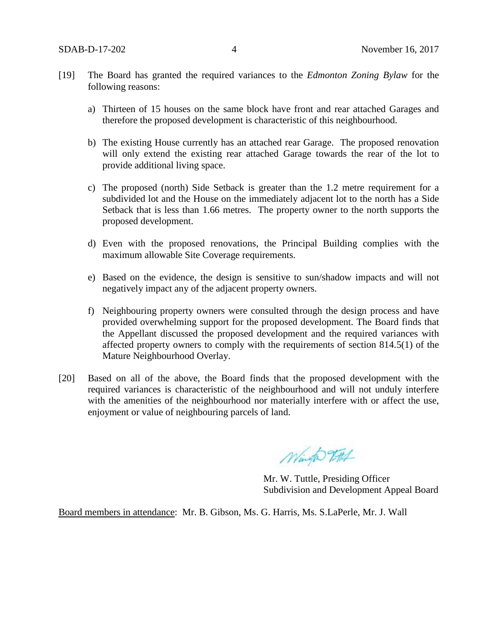- [19] The Board has granted the required variances to the *Edmonton Zoning Bylaw* for the following reasons:
	- a) Thirteen of 15 houses on the same block have front and rear attached Garages and therefore the proposed development is characteristic of this neighbourhood.
	- b) The existing House currently has an attached rear Garage. The proposed renovation will only extend the existing rear attached Garage towards the rear of the lot to provide additional living space.
	- c) The proposed (north) Side Setback is greater than the 1.2 metre requirement for a subdivided lot and the House on the immediately adjacent lot to the north has a Side Setback that is less than 1.66 metres. The property owner to the north supports the proposed development.
	- d) Even with the proposed renovations, the Principal Building complies with the maximum allowable Site Coverage requirements.
	- e) Based on the evidence, the design is sensitive to sun/shadow impacts and will not negatively impact any of the adjacent property owners.
	- f) Neighbouring property owners were consulted through the design process and have provided overwhelming support for the proposed development. The Board finds that the Appellant discussed the proposed development and the required variances with affected property owners to comply with the requirements of section 814.5(1) of the Mature Neighbourhood Overlay.
- [20] Based on all of the above, the Board finds that the proposed development with the required variances is characteristic of the neighbourhood and will not unduly interfere with the amenities of the neighbourhood nor materially interfere with or affect the use, enjoyment or value of neighbouring parcels of land.

Winter 7-71

Mr. W. Tuttle, Presiding Officer Subdivision and Development Appeal Board

Board members in attendance: Mr. B. Gibson, Ms. G. Harris, Ms. S.LaPerle, Mr. J. Wall